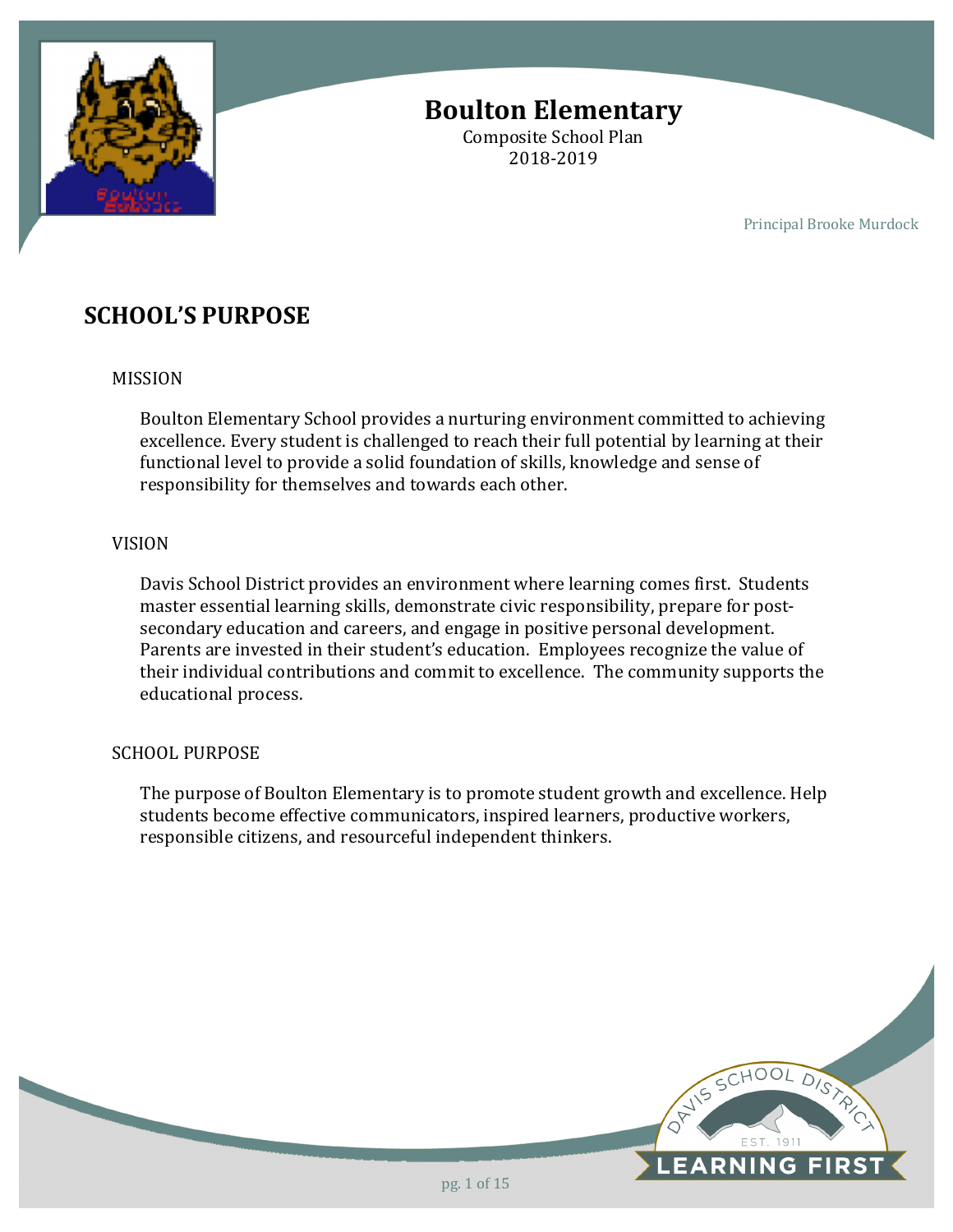

# **Boulton Elementary**

Composite School Plan 2018-2019

Principal Brooke Murdock

## **SCHOOL'S PURPOSE**

### MISSION

Boulton Elementary School provides a nurturing environment committed to achieving excellence. Every student is challenged to reach their full potential by learning at their functional level to provide a solid foundation of skills, knowledge and sense of responsibility for themselves and towards each other.

### VISION

Davis School District provides an environment where learning comes first. Students master essential learning skills, demonstrate civic responsibility, prepare for postsecondary education and careers, and engage in positive personal development. Parents are invested in their student's education. Employees recognize the value of their individual contributions and commit to excellence. The community supports the educational process.

### SCHOOL PURPOSE

The purpose of Boulton Elementary is to promote student growth and excellence. Help students become effective communicators, inspired learners, productive workers, responsible citizens, and resourceful independent thinkers.

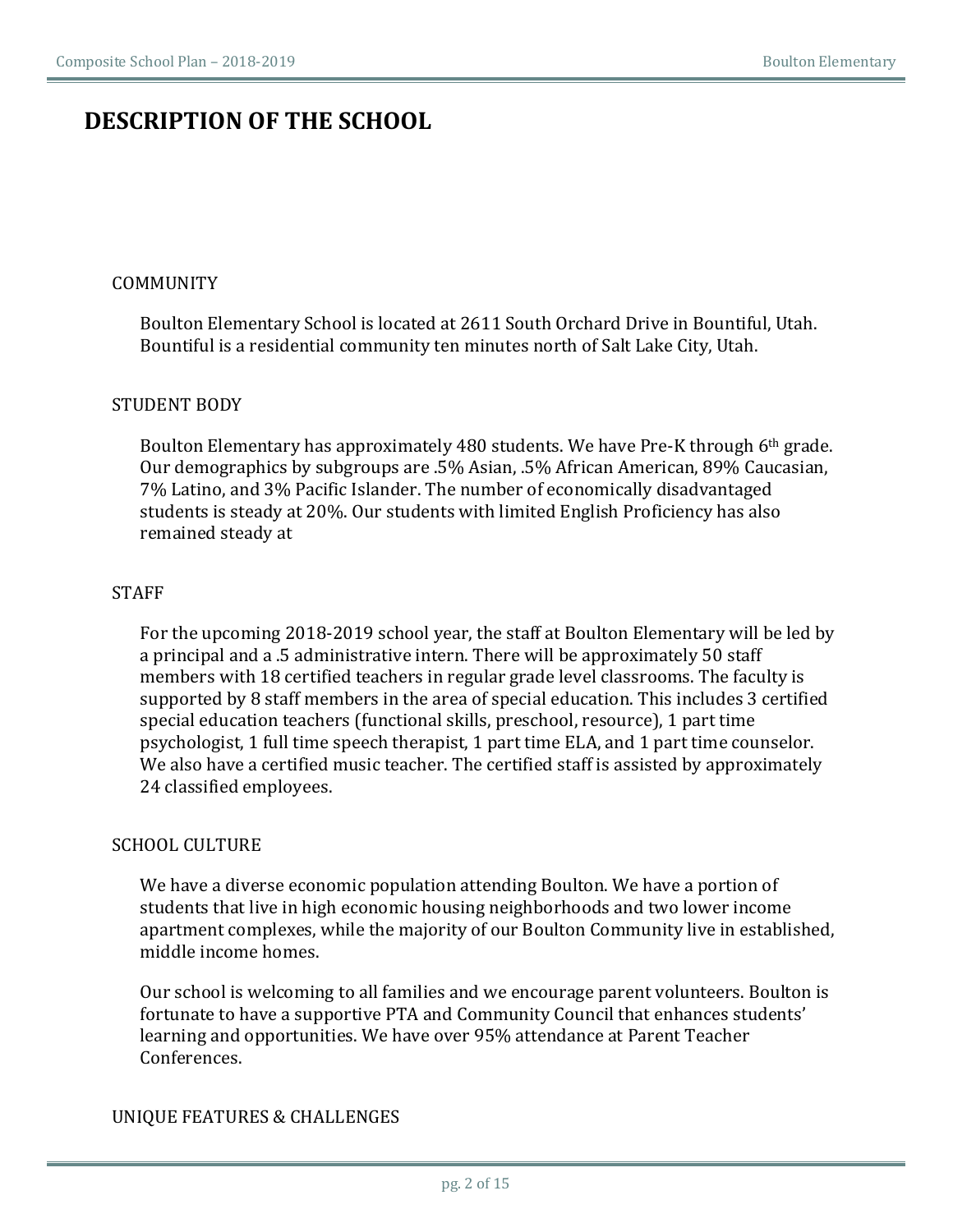## **DESCRIPTION OF THE SCHOOL**

### COMMUNITY

Boulton Elementary School is located at 2611 South Orchard Drive in Bountiful, Utah. Bountiful is a residential community ten minutes north of Salt Lake City, Utah.

### STUDENT BODY

Boulton Elementary has approximately 480 students. We have Pre-K through 6<sup>th</sup> grade. Our demographics by subgroups are .5% Asian, .5% African American, 89% Caucasian, 7% Latino, and 3% Pacific Islander. The number of economically disadvantaged students is steady at 20%. Our students with limited English Proficiency has also remained steady at

#### **STAFF**

For the upcoming 2018-2019 school year, the staff at Boulton Elementary will be led by a principal and a .5 administrative intern. There will be approximately 50 staff members with 18 certified teachers in regular grade level classrooms. The faculty is supported by 8 staff members in the area of special education. This includes 3 certified special education teachers (functional skills, preschool, resource), 1 part time psychologist, 1 full time speech therapist, 1 part time ELA, and 1 part time counselor. We also have a certified music teacher. The certified staff is assisted by approximately 24 classified employees.

#### SCHOOL CULTURE

We have a diverse economic population attending Boulton. We have a portion of students that live in high economic housing neighborhoods and two lower income apartment complexes, while the majority of our Boulton Community live in established, middle income homes.

Our school is welcoming to all families and we encourage parent volunteers. Boulton is fortunate to have a supportive PTA and Community Council that enhances students' learning and opportunities. We have over 95% attendance at Parent Teacher Conferences. 

### UNIQUE FEATURES & CHALLENGES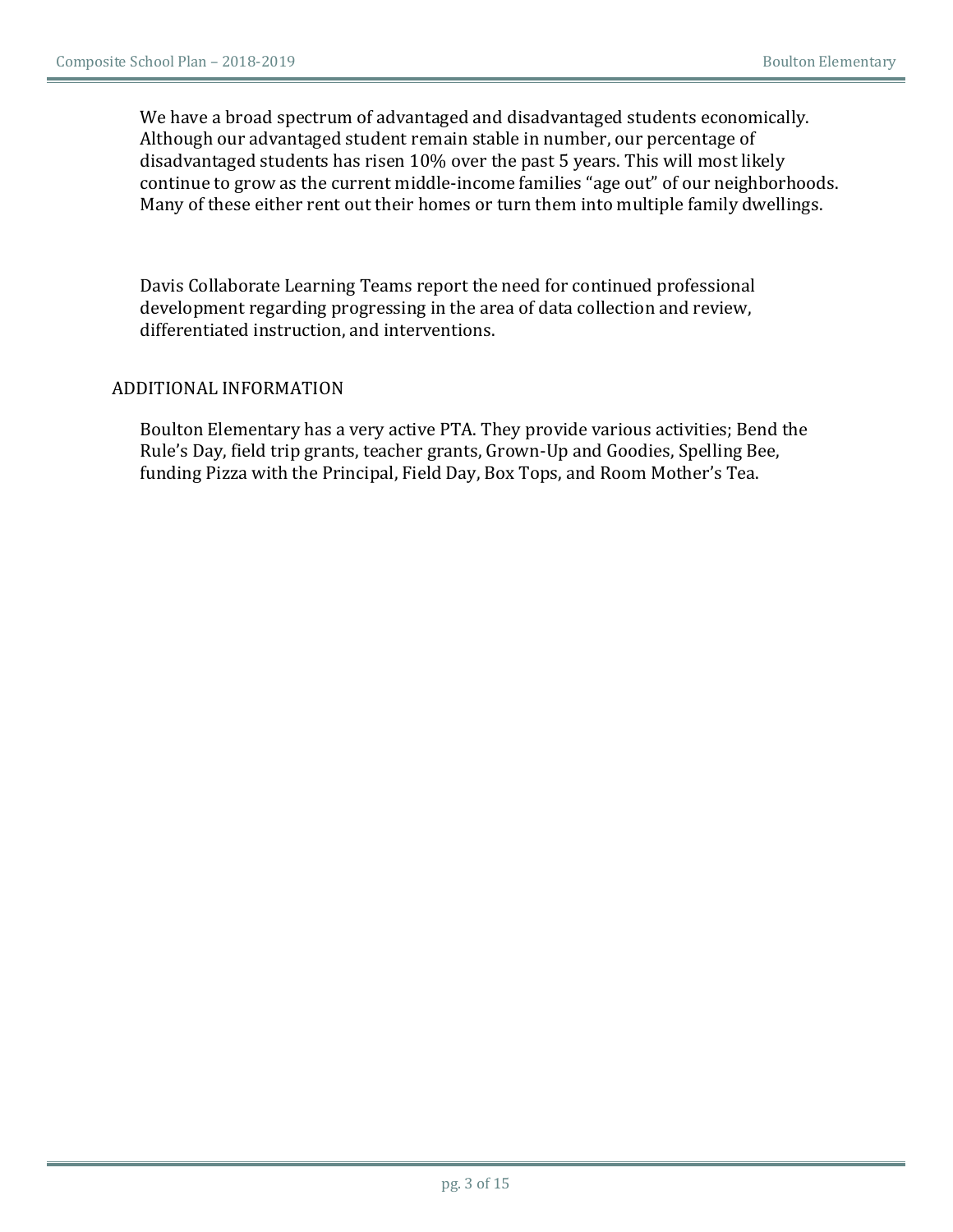We have a broad spectrum of advantaged and disadvantaged students economically. Although our advantaged student remain stable in number, our percentage of disadvantaged students has risen 10% over the past 5 years. This will most likely continue to grow as the current middle-income families "age out" of our neighborhoods. Many of these either rent out their homes or turn them into multiple family dwellings.

Davis Collaborate Learning Teams report the need for continued professional development regarding progressing in the area of data collection and review, differentiated instruction, and interventions.

### ADDITIONAL INFORMATION

Boulton Elementary has a very active PTA. They provide various activities; Bend the Rule's Day, field trip grants, teacher grants, Grown-Up and Goodies, Spelling Bee, funding Pizza with the Principal, Field Day, Box Tops, and Room Mother's Tea.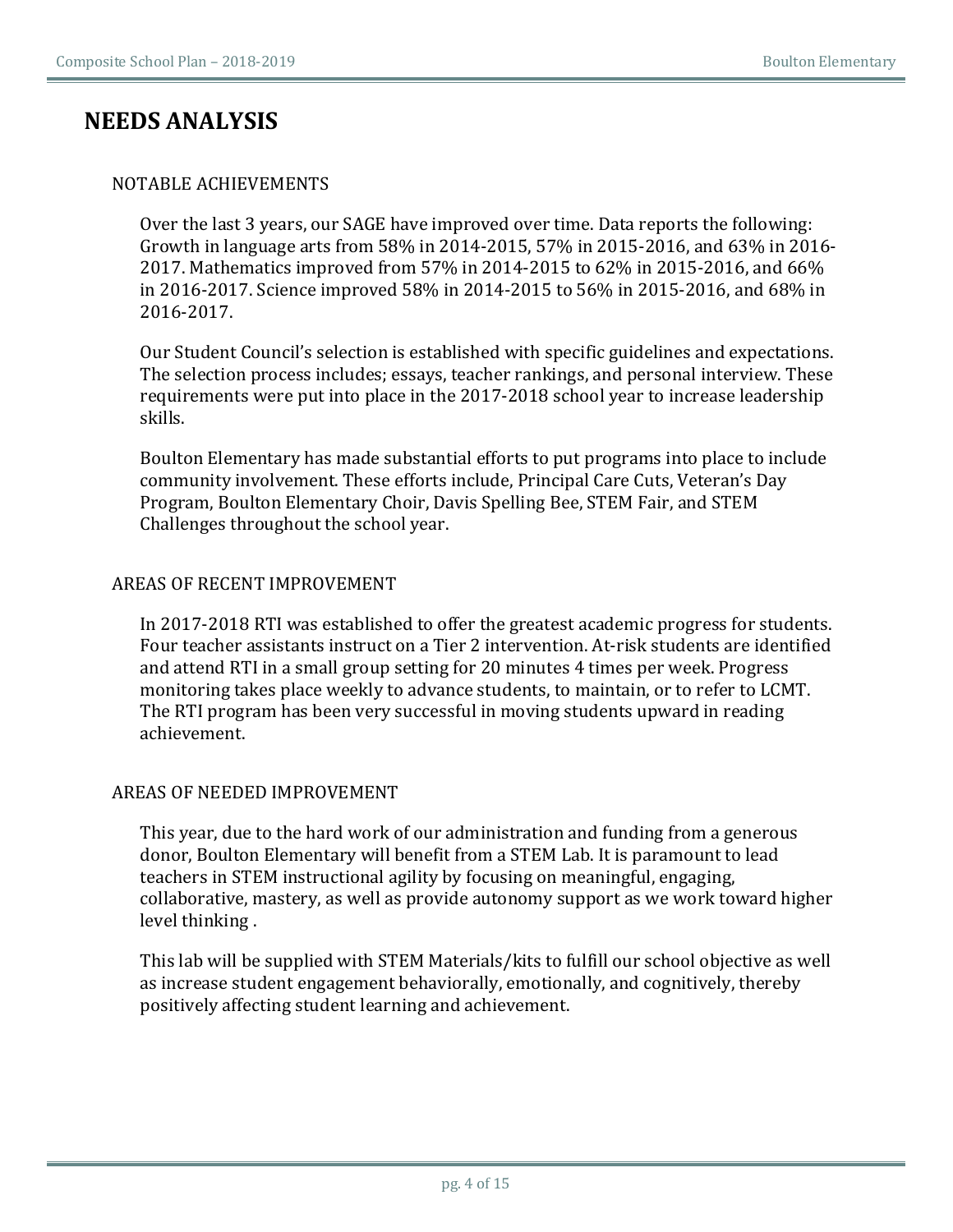## **NEEDS ANALYSIS**

### NOTABLE ACHIEVEMENTS

Over the last 3 years, our SAGE have improved over time. Data reports the following: Growth in language arts from 58% in 2014-2015, 57% in 2015-2016, and 63% in 2016-2017. Mathematics improved from 57% in 2014-2015 to 62% in 2015-2016, and 66% in 2016-2017. Science improved 58% in 2014-2015 to 56% in 2015-2016, and 68% in 2016-2017.

Our Student Council's selection is established with specific guidelines and expectations. The selection process includes; essays, teacher rankings, and personal interview. These requirements were put into place in the 2017-2018 school year to increase leadership skills.

Boulton Elementary has made substantial efforts to put programs into place to include community involvement. These efforts include, Principal Care Cuts, Veteran's Day Program, Boulton Elementary Choir, Davis Spelling Bee, STEM Fair, and STEM Challenges throughout the school year.

### AREAS OF RECENT IMPROVEMENT

In 2017-2018 RTI was established to offer the greatest academic progress for students. Four teacher assistants instruct on a Tier 2 intervention. At-risk students are identified and attend RTI in a small group setting for 20 minutes 4 times per week. Progress monitoring takes place weekly to advance students, to maintain, or to refer to LCMT. The RTI program has been very successful in moving students upward in reading achievement. 

### AREAS OF NEEDED IMPROVEMENT

This year, due to the hard work of our administration and funding from a generous donor, Boulton Elementary will benefit from a STEM Lab. It is paramount to lead teachers in STEM instructional agility by focusing on meaningful, engaging, collaborative, mastery, as well as provide autonomy support as we work toward higher level thinking.

This lab will be supplied with STEM Materials/kits to fulfill our school objective as well as increase student engagement behaviorally, emotionally, and cognitively, thereby positively affecting student learning and achievement.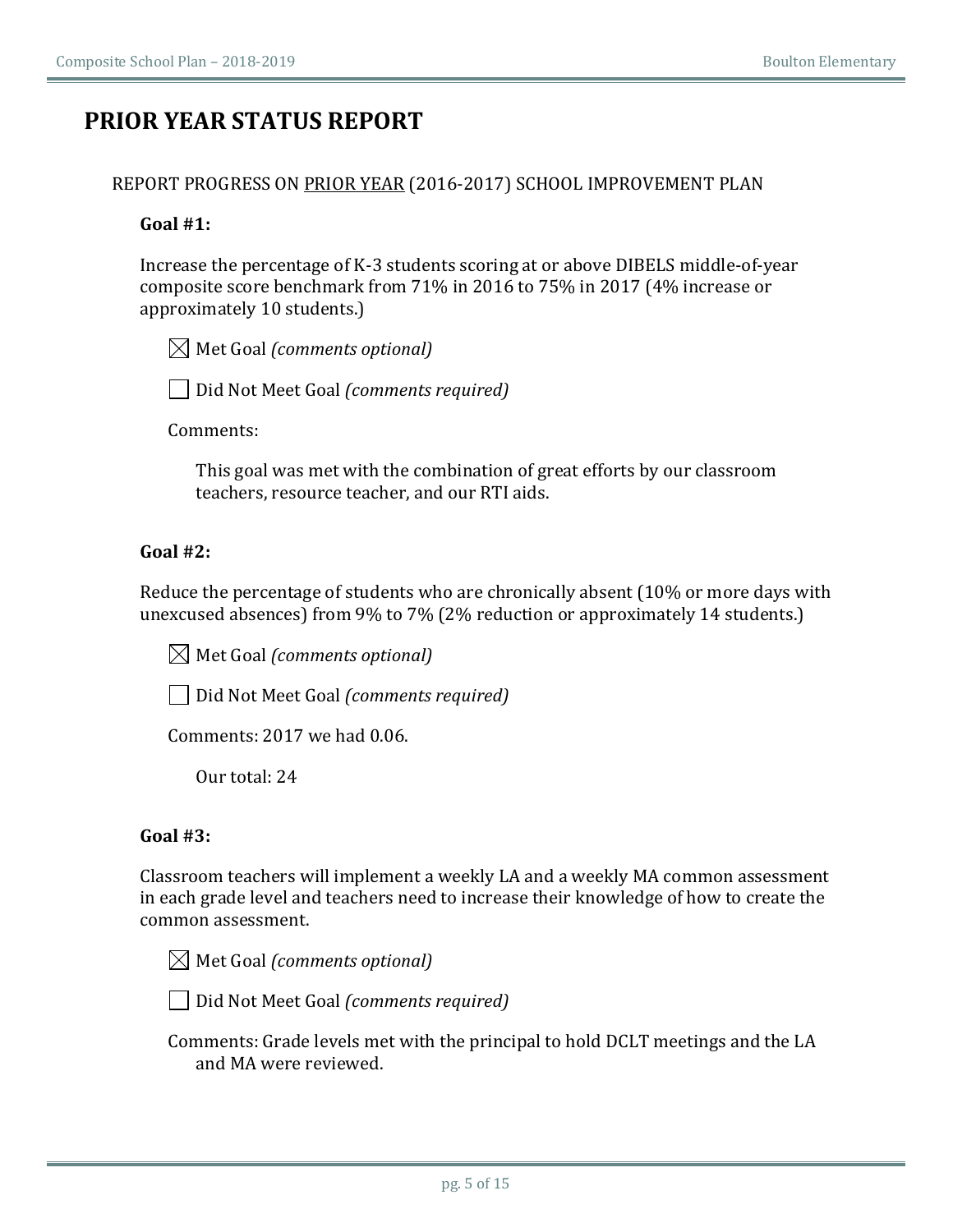## **PRIOR YEAR STATUS REPORT**

### REPORT PROGRESS ON PRIOR YEAR (2016-2017) SCHOOL IMPROVEMENT PLAN

### **Goal #1:**

Increase the percentage of K-3 students scoring at or above DIBELS middle-of-year composite score benchmark from 71% in 2016 to 75% in 2017 (4% increase or approximately 10 students.)

 $[$ **Met Goal (comments optional)** 

□ Did Not Meet Goal *(comments required)* 

Comments:

This goal was met with the combination of great efforts by our classroom teachers, resource teacher, and our RTI aids.

### $Goal #2$

Reduce the percentage of students who are chronically absent (10% or more days with unexcused absences) from 9% to 7% (2% reduction or approximately 14 students.)

 $\boxtimes$  Met Goal *(comments optional)* 

**□ Did Not Meet Goal** *(comments required)* 

Comments: 2017 we had 0.06.

Our total: 24

### **Goal #3:**

Classroom teachers will implement a weekly LA and a weekly MA common assessment in each grade level and teachers need to increase their knowledge of how to create the common assessment.

 $\boxtimes$  Met Goal *(comments optional)* 

Did Not Meet Goal *(comments required)* 

Comments: Grade levels met with the principal to hold DCLT meetings and the LA and MA were reviewed.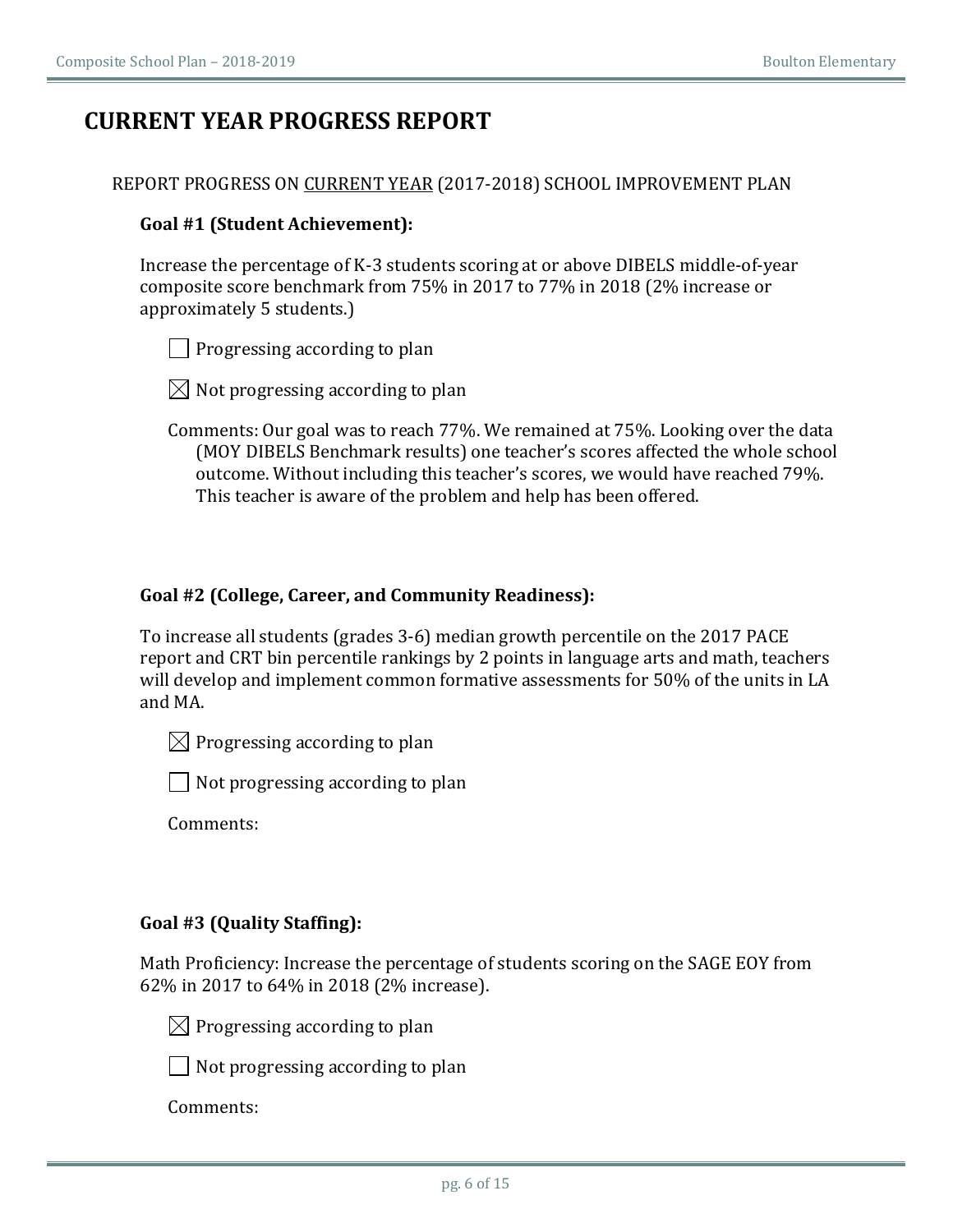## **CURRENT YEAR PROGRESS REPORT**

### Goal #1 (Student Achievement):

Increase the percentage of K-3 students scoring at or above DIBELS middle-of-year composite score benchmark from 75% in 2017 to 77% in 2018 (2% increase or approximately 5 students.)

 $\Box$  Progressing according to plan

 $\boxtimes$  Not progressing according to plan

Comments: Our goal was to reach 77%. We remained at 75%. Looking over the data (MOY DIBELS Benchmark results) one teacher's scores affected the whole school outcome. Without including this teacher's scores, we would have reached 79%. This teacher is aware of the problem and help has been offered.

### Goal #2 (College, Career, and Community Readiness):

To increase all students (grades 3-6) median growth percentile on the 2017 PACE report and CRT bin percentile rankings by 2 points in language arts and math, teachers will develop and implement common formative assessments for 50% of the units in LA and MA.

 $\boxtimes$  Progressing according to plan

 $\vert$  Not progressing according to plan

Comments:

### **Goal #3 (Quality Staffing):**

Math Proficiency: Increase the percentage of students scoring on the SAGE EOY from 62% in 2017 to 64% in 2018 (2% increase).

 $\boxtimes$  Progressing according to plan

 $\Box$  Not progressing according to plan

Comments: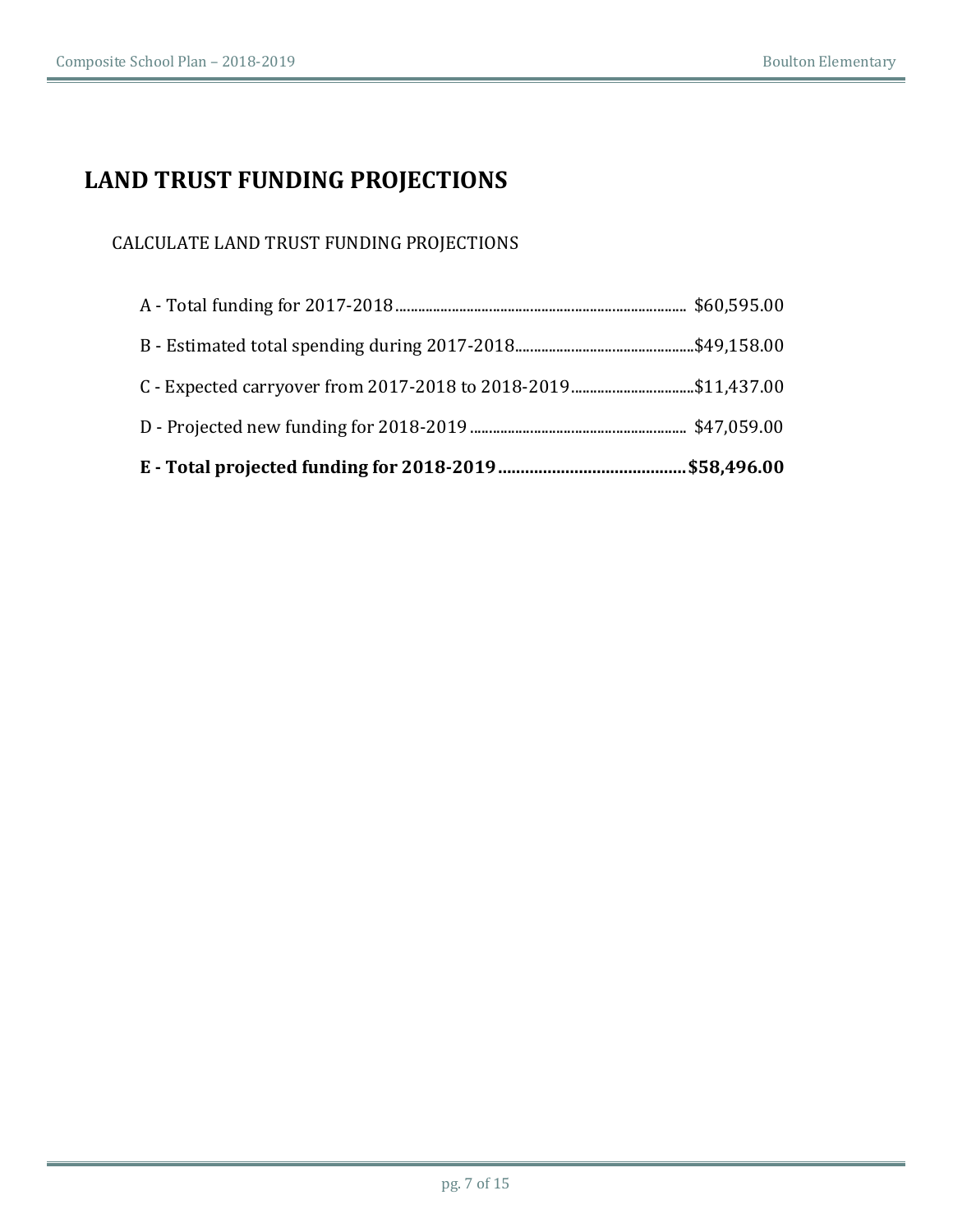# **LAND TRUST FUNDING PROJECTIONS**

### CALCULATE LAND TRUST FUNDING PROJECTIONS

| C - Expected carryover from 2017-2018 to 2018-2019\$11,437.00 |  |
|---------------------------------------------------------------|--|
|                                                               |  |
|                                                               |  |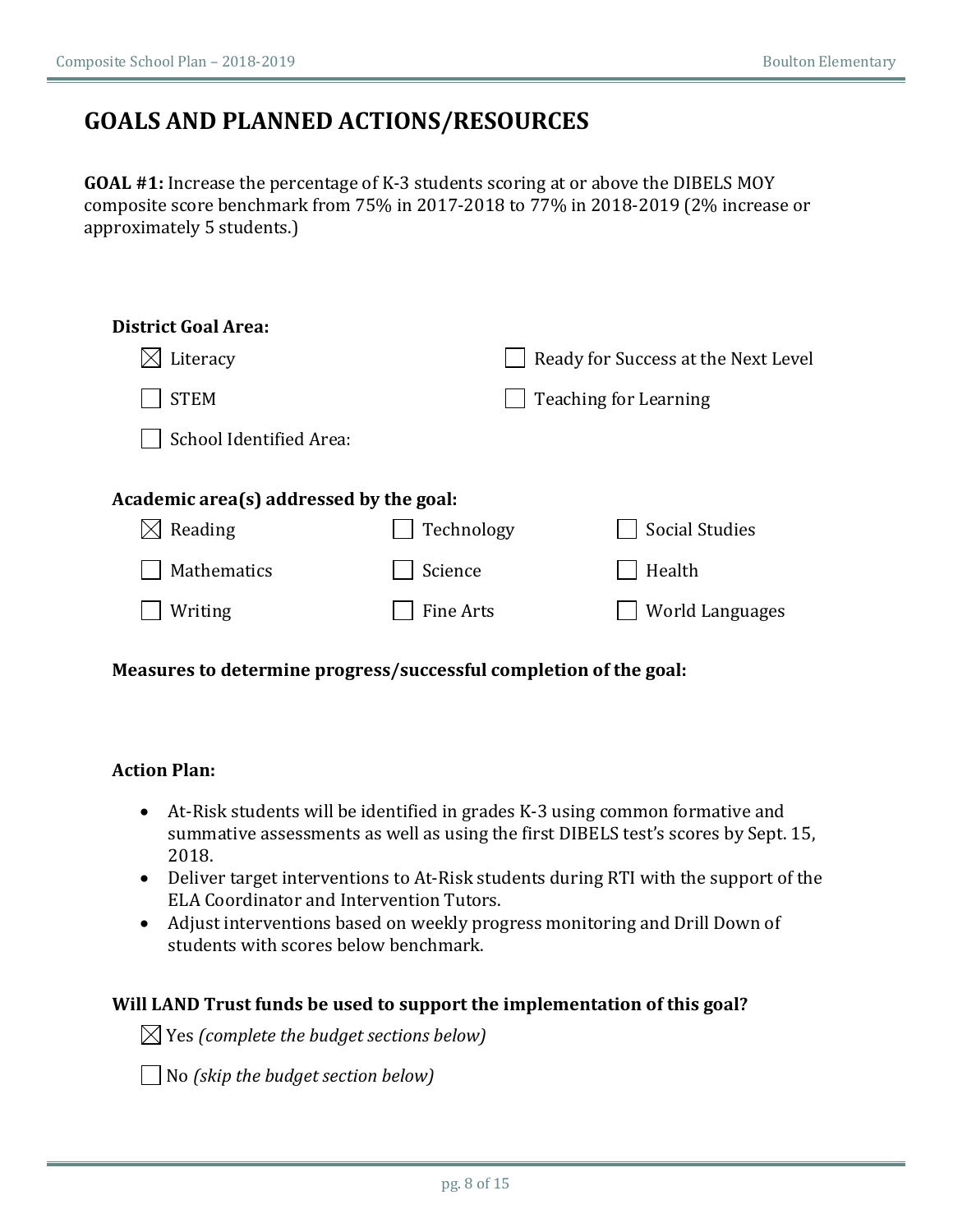## **GOALS AND PLANNED ACTIONS/RESOURCES**

**GOAL #1:** Increase the percentage of K-3 students scoring at or above the DIBELS MOY composite score benchmark from 75% in 2017-2018 to 77% in 2018-2019 (2% increase or approximately 5 students.)

| <b>District Goal Area:</b>              |                  |                                     |
|-----------------------------------------|------------------|-------------------------------------|
| Literacy                                |                  | Ready for Success at the Next Level |
| <b>STEM</b>                             |                  | <b>Teaching for Learning</b>        |
| School Identified Area:                 |                  |                                     |
|                                         |                  |                                     |
| Academic area(s) addressed by the goal: |                  |                                     |
| $\boxtimes$ Reading                     | Technology       | <b>Social Studies</b>               |
| Mathematics                             | Science          | Health                              |
| Writing                                 | <b>Fine Arts</b> | <b>World Languages</b>              |
|                                         |                  |                                     |

### Measures to determine progress/successful completion of the goal:

### **Action Plan:**

- At-Risk students will be identified in grades K-3 using common formative and summative assessments as well as using the first DIBELS test's scores by Sept. 15, 2018.
- Deliver target interventions to At-Risk students during RTI with the support of the ELA Coordinator and Intervention Tutors.
- Adjust interventions based on weekly progress monitoring and Drill Down of students with scores below benchmark.

#### **Will LAND Trust funds be used to support the implementation of this goal?**

 $\boxtimes$  Yes (complete the budget sections below)

**△ No** *(skip the budget section below)*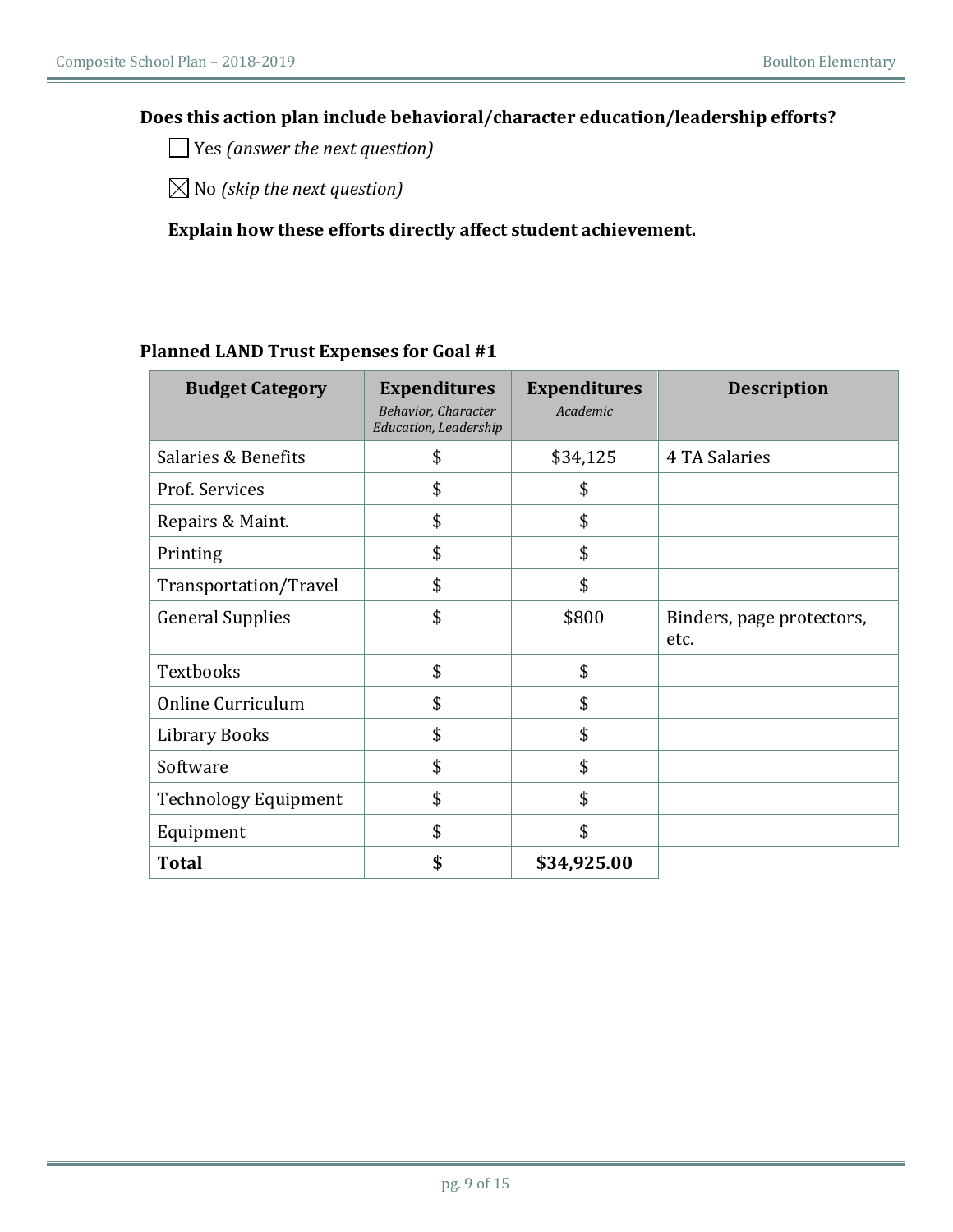### Does this action plan include behavioral/character education/leadership efforts?

◯ Yes (answer the next question)

 $\boxtimes$  No *(skip the next question)* 

### Explain how these efforts directly affect student achievement.

### **Planned LAND Trust Expenses for Goal #1**

| <b>Budget Category</b>      | <b>Expenditures</b><br><b>Behavior, Character</b><br>Education, Leadership | <b>Expenditures</b><br>Academic | <b>Description</b>                |
|-----------------------------|----------------------------------------------------------------------------|---------------------------------|-----------------------------------|
| Salaries & Benefits         | \$                                                                         | \$34,125                        | 4 TA Salaries                     |
| Prof. Services              | \$                                                                         | \$                              |                                   |
| Repairs & Maint.            | \$                                                                         | \$                              |                                   |
| Printing                    | \$                                                                         | \$                              |                                   |
| Transportation/Travel       | \$                                                                         | \$                              |                                   |
| <b>General Supplies</b>     | \$                                                                         | \$800                           | Binders, page protectors,<br>etc. |
| Textbooks                   | \$                                                                         | \$                              |                                   |
| Online Curriculum           | \$                                                                         | \$                              |                                   |
| <b>Library Books</b>        | \$                                                                         | \$                              |                                   |
| Software                    | \$                                                                         | \$                              |                                   |
| <b>Technology Equipment</b> | \$                                                                         | \$                              |                                   |
| Equipment                   | \$                                                                         | \$                              |                                   |
| <b>Total</b>                | \$                                                                         | \$34,925.00                     |                                   |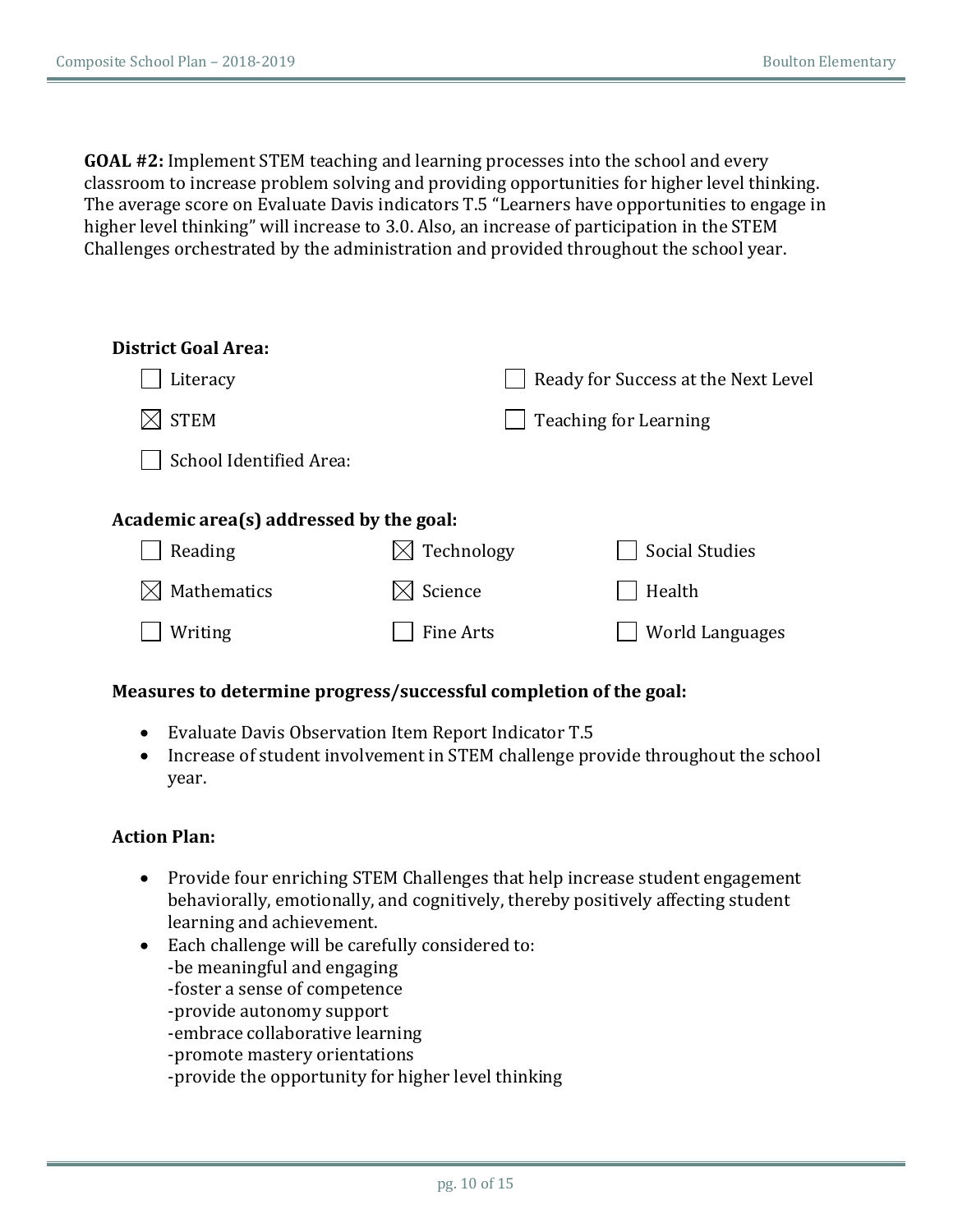**GOAL #2:** Implement STEM teaching and learning processes into the school and every classroom to increase problem solving and providing opportunities for higher level thinking. The average score on Evaluate Davis indicators T.5 "Learners have opportunities to engage in higher level thinking" will increase to 3.0. Also, an increase of participation in the STEM Challenges orchestrated by the administration and provided throughout the school year.

| <b>District Goal Area:</b>              |                  |                                     |
|-----------------------------------------|------------------|-------------------------------------|
| Literacy                                |                  | Ready for Success at the Next Level |
| <b>STEM</b>                             |                  | <b>Teaching for Learning</b>        |
| School Identified Area:                 |                  |                                     |
|                                         |                  |                                     |
| Academic area(s) addressed by the goal: |                  |                                     |
| Reading                                 | Technology       | <b>Social Studies</b>               |
| Mathematics                             | Science          | Health                              |
| Writing                                 | <b>Fine Arts</b> | World Languages                     |
|                                         |                  |                                     |

### Measures to determine progress/successful completion of the goal:

- Evaluate Davis Observation Item Report Indicator T.5
- Increase of student involvement in STEM challenge provide throughout the school year.

### **Action Plan:**

- Provide four enriching STEM Challenges that help increase student engagement behaviorally, emotionally, and cognitively, thereby positively affecting student learning and achievement.
- Each challenge will be carefully considered to: -be meaningful and engaging -foster a sense of competence -provide autonomy support -embrace collaborative learning -promote mastery orientations -provide the opportunity for higher level thinking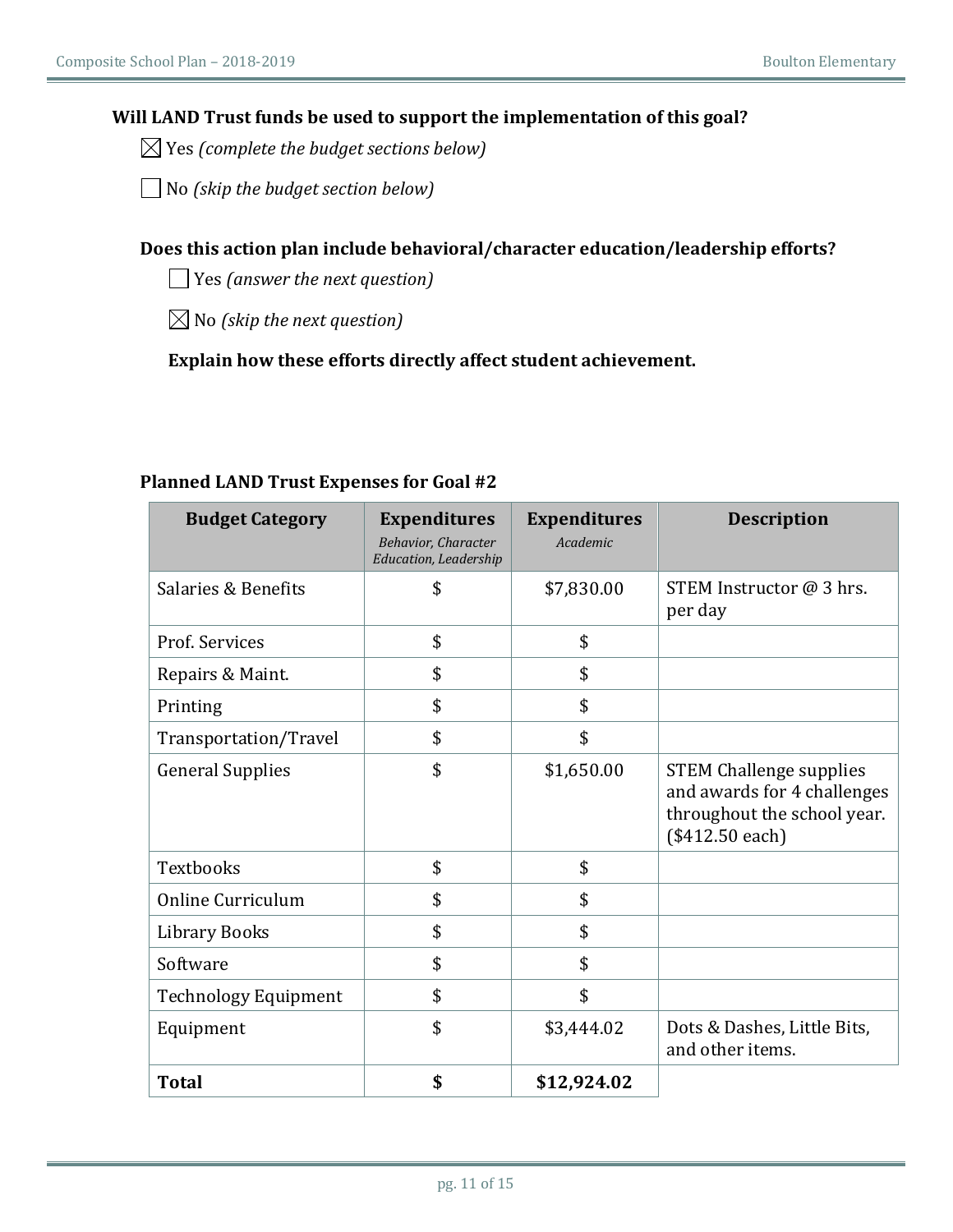### Will LAND Trust funds be used to support the implementation of this goal?

 $\boxtimes$  Yes (complete the budget sections below)

No *(skip the budget section below)*  $\vert \ \ \vert$ 

### Does this action plan include behavioral/character education/leadership efforts?

Yes *(answer the next question)*

 $\boxtimes$  No (skip the next question)

Explain how these efforts directly affect student achievement.

| <b>Budget Category</b>      | <b>Expenditures</b><br><b>Behavior, Character</b><br><b>Education, Leadership</b> | <b>Expenditures</b><br>Academic | <b>Description</b>                                                                                              |
|-----------------------------|-----------------------------------------------------------------------------------|---------------------------------|-----------------------------------------------------------------------------------------------------------------|
| Salaries & Benefits         | \$                                                                                | \$7,830.00                      | STEM Instructor @ 3 hrs.<br>per day                                                                             |
| Prof. Services              | \$                                                                                | \$                              |                                                                                                                 |
| Repairs & Maint.            | \$                                                                                | \$                              |                                                                                                                 |
| Printing                    | \$                                                                                | \$                              |                                                                                                                 |
| Transportation/Travel       | \$                                                                                | \$                              |                                                                                                                 |
| <b>General Supplies</b>     | \$                                                                                | \$1,650.00                      | <b>STEM Challenge supplies</b><br>and awards for 4 challenges<br>throughout the school year.<br>(\$412.50 each) |
| <b>Textbooks</b>            | \$                                                                                | \$                              |                                                                                                                 |
| <b>Online Curriculum</b>    | \$                                                                                | \$                              |                                                                                                                 |
| <b>Library Books</b>        | \$                                                                                | \$                              |                                                                                                                 |
| Software                    | \$                                                                                | \$                              |                                                                                                                 |
| <b>Technology Equipment</b> | \$                                                                                | \$                              |                                                                                                                 |
| Equipment                   | \$                                                                                | \$3,444.02                      | Dots & Dashes, Little Bits,<br>and other items.                                                                 |
| <b>Total</b>                | \$                                                                                | \$12,924.02                     |                                                                                                                 |

### **Planned LAND Trust Expenses for Goal #2**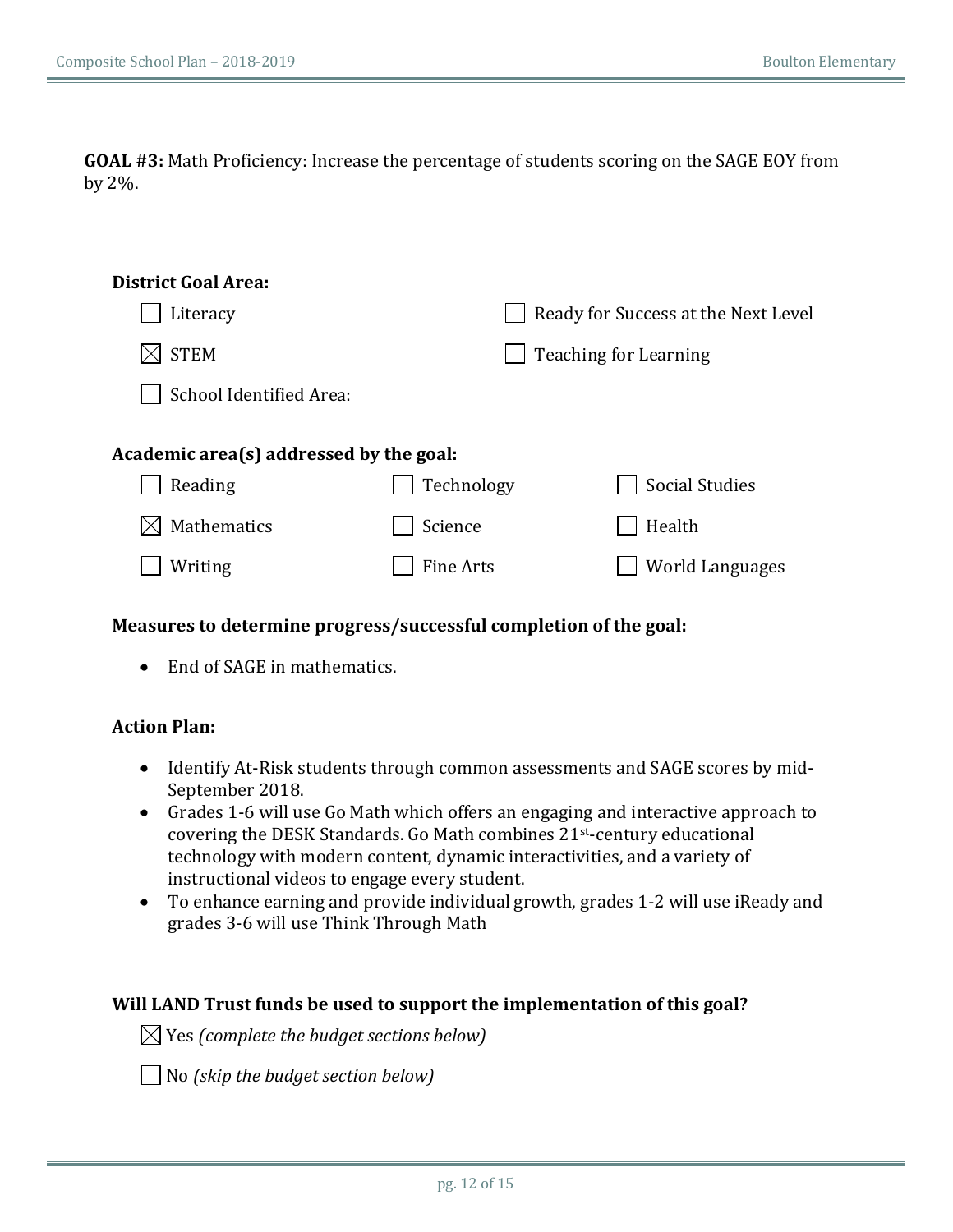**GOAL** #3: Math Proficiency: Increase the percentage of students scoring on the SAGE EOY from by 2%.

| <b>District Goal Area:</b>              |            |                                     |
|-----------------------------------------|------------|-------------------------------------|
| Literacy                                |            | Ready for Success at the Next Level |
| <b>STEM</b>                             |            | <b>Teaching for Learning</b>        |
| School Identified Area:                 |            |                                     |
|                                         |            |                                     |
| Academic area(s) addressed by the goal: |            |                                     |
| Reading                                 | Technology | <b>Social Studies</b>               |
| Mathematics                             | Science    | Health                              |
| Writing                                 | Fine Arts  | <b>World Languages</b>              |
|                                         |            |                                     |

### Measures to determine progress/successful completion of the goal:

• End of SAGE in mathematics.

### **Action Plan:**

- Identify At-Risk students through common assessments and SAGE scores by mid-September 2018.
- Grades 1-6 will use Go Math which offers an engaging and interactive approach to covering the DESK Standards. Go Math combines 21st-century educational technology with modern content, dynamic interactivities, and a variety of instructional videos to engage every student.
- To enhance earning and provide individual growth, grades 1-2 will use iReady and grades 3-6 will use Think Through Math

### **Will LAND Trust funds be used to support the implementation of this goal?**

 $\boxtimes$  Yes (complete the budget sections below)

**△ No** *(skip the budget section below)*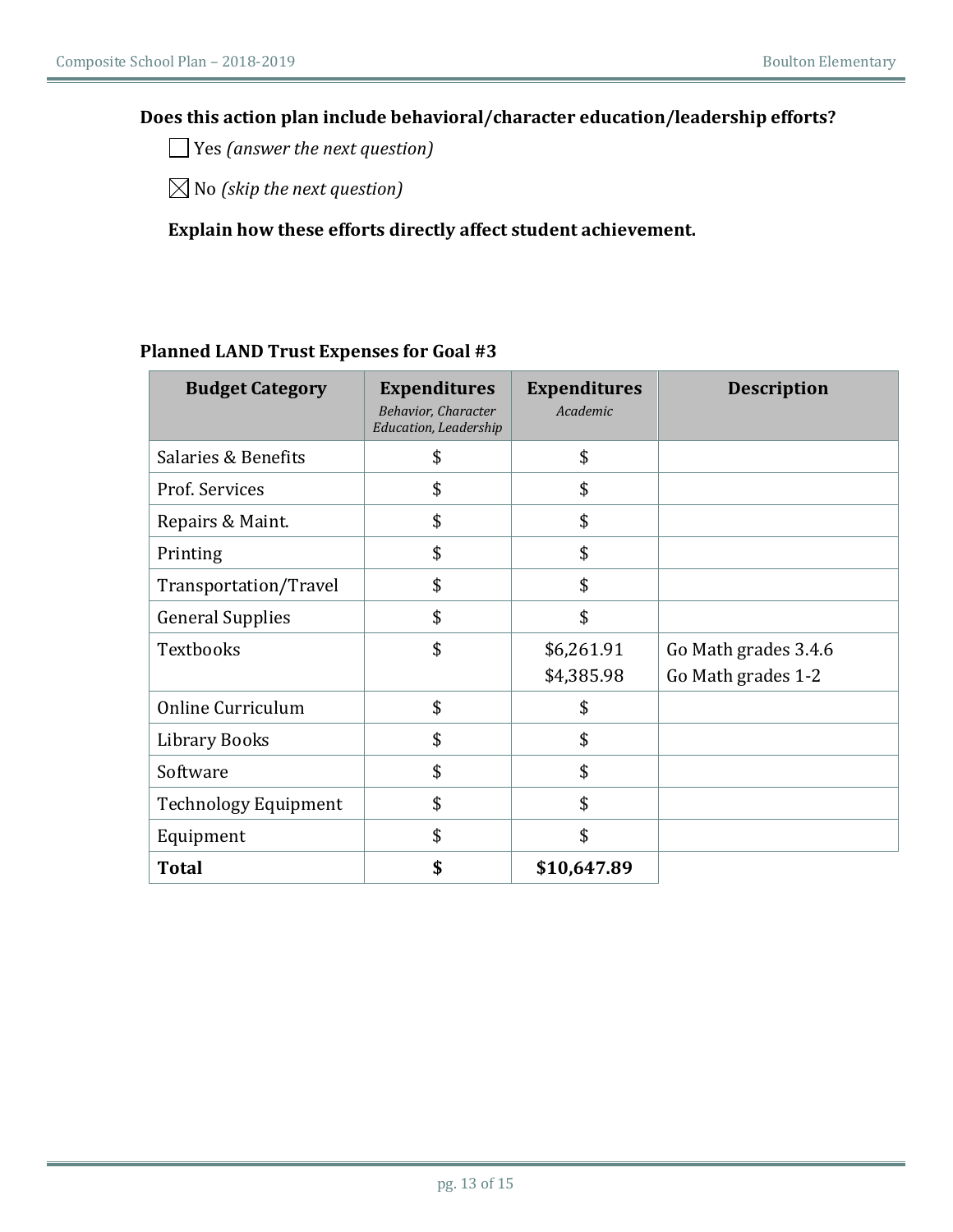### Does this action plan include behavioral/character education/leadership efforts?

◯ Yes (answer the next question)

 $\boxtimes$  No *(skip the next question)* 

### Explain how these efforts directly affect student achievement.

### **Planned LAND Trust Expenses for Goal #3**

| <b>Budget Category</b>      | <b>Expenditures</b><br><b>Behavior, Character</b><br>Education, Leadership | <b>Expenditures</b><br>Academic | <b>Description</b>                         |
|-----------------------------|----------------------------------------------------------------------------|---------------------------------|--------------------------------------------|
| Salaries & Benefits         | \$                                                                         | \$                              |                                            |
| Prof. Services              | \$                                                                         | \$                              |                                            |
| Repairs & Maint.            | \$                                                                         | \$                              |                                            |
| Printing                    | \$                                                                         | \$                              |                                            |
| Transportation/Travel       | \$                                                                         | \$                              |                                            |
| <b>General Supplies</b>     | \$                                                                         | \$                              |                                            |
| Textbooks                   | \$                                                                         | \$6,261.91<br>\$4,385.98        | Go Math grades 3.4.6<br>Go Math grades 1-2 |
| Online Curriculum           | \$                                                                         | \$                              |                                            |
| Library Books               | \$                                                                         | \$                              |                                            |
| Software                    | \$                                                                         | \$                              |                                            |
| <b>Technology Equipment</b> | \$                                                                         | \$                              |                                            |
| Equipment                   | \$                                                                         | \$                              |                                            |
| <b>Total</b>                | \$                                                                         | \$10,647.89                     |                                            |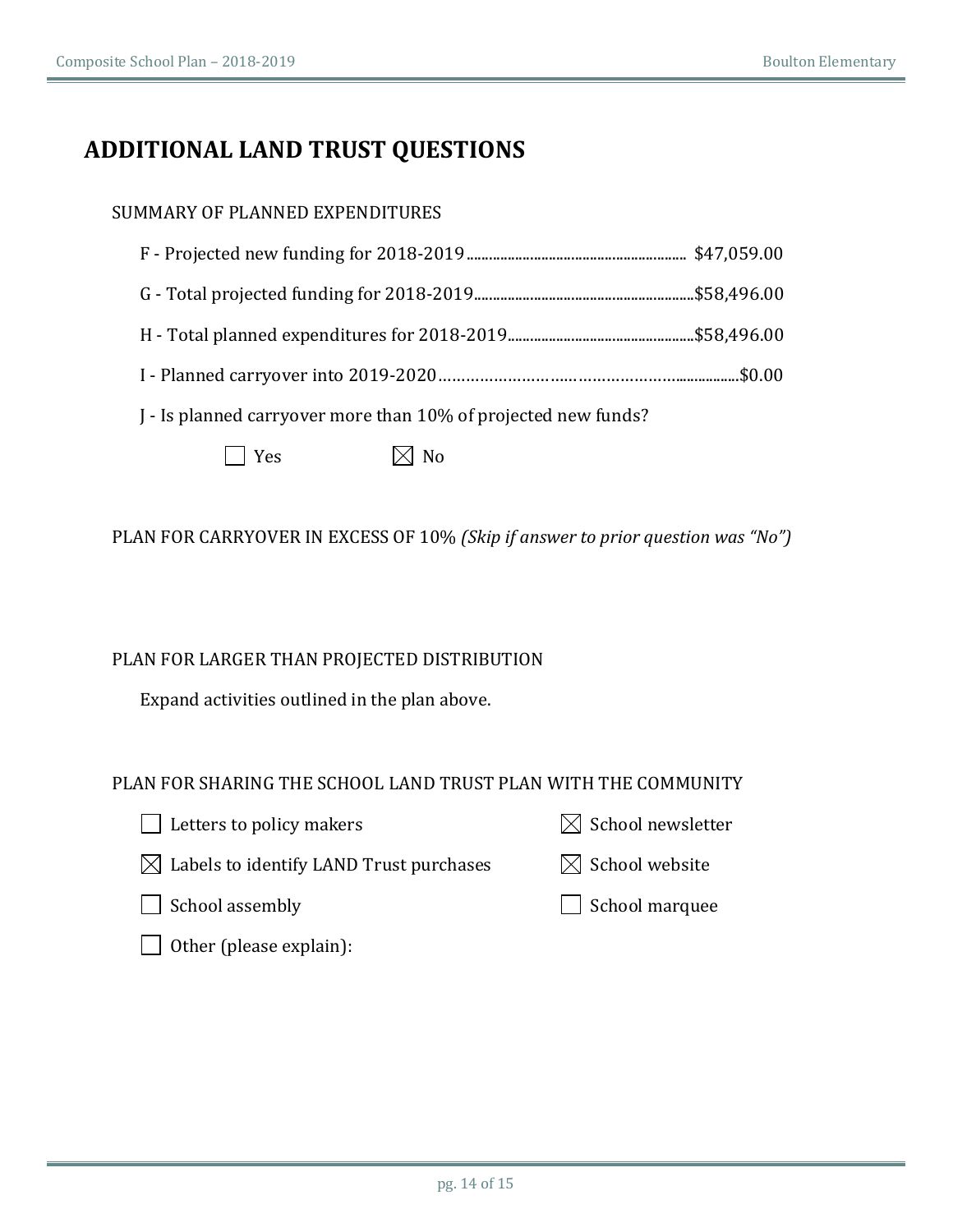## **ADDITIONAL LAND TRUST QUESTIONS**

### SUMMARY OF PLANNED EXPENDITURES

| I - Is planned carryover more than 10% of projected new funds? |  |  |  |  |
|----------------------------------------------------------------|--|--|--|--|
| $\boxtimes$ No<br>$\Box$ Yes                                   |  |  |  |  |

PLAN FOR CARRYOVER IN EXCESS OF 10% *(Skip if answer to prior question was "No")* 

PLAN FOR LARGER THAN PROJECTED DISTRIBUTION

Expand activities outlined in the plan above.

PLAN FOR SHARING THE SCHOOL LAND TRUST PLAN WITH THE COMMUNITY

 $\Box$  Letters to policy makers  $\boxtimes$  School newsletter  $\boxtimes$  Labels to identify LAND Trust purchases  $\boxtimes$  School website

School assembly school marquee

Other (please explain):